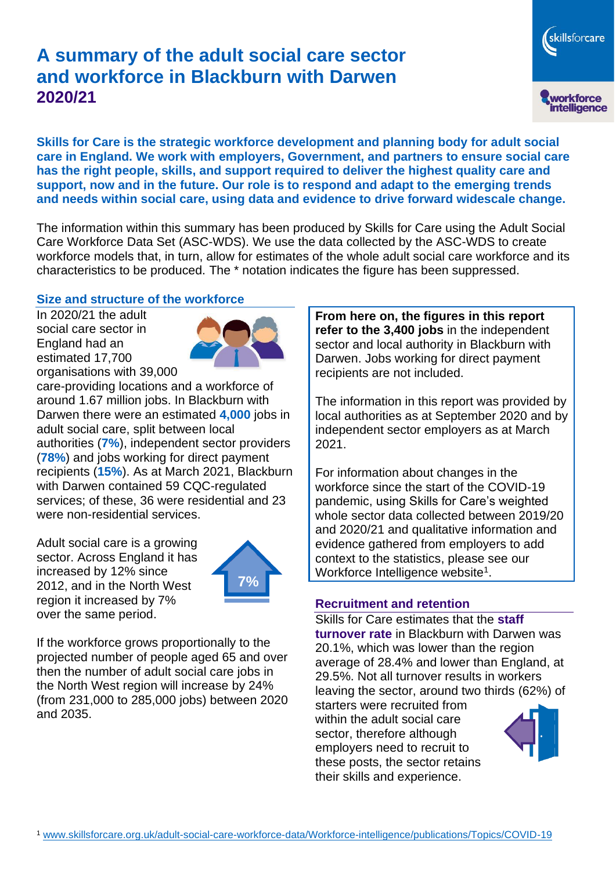# **A summary of the adult social care sector and workforce in Blackburn with Darwen 2020/21**



**Skills for Care is the strategic workforce development and planning body for adult social care in England. We work with employers, Government, and partners to ensure social care has the right people, skills, and support required to deliver the highest quality care and support, now and in the future. Our role is to respond and adapt to the emerging trends and needs within social care, using data and evidence to drive forward widescale change.**

The information within this summary has been produced by Skills for Care using the Adult Social Care Workforce Data Set (ASC-WDS). We use the data collected by the ASC-WDS to create workforce models that, in turn, allow for estimates of the whole adult social care workforce and its characteristics to be produced. The \* notation indicates the figure has been suppressed.

### **Size and structure of the workforce**

In 2020/21 the adult social care sector in England had an estimated 17,700 organisations with 39,000



care-providing locations and a workforce of around 1.67 million jobs. In Blackburn with Darwen there were an estimated **4,000** jobs in adult social care, split between local authorities (**7%**), independent sector providers (**78%**) and jobs working for direct payment recipients (**15%**). As at March 2021, Blackburn with Darwen contained 59 CQC-regulated services; of these, 36 were residential and 23 were non-residential services.

Adult social care is a growing sector. Across England it has increased by 12% since 2012, and in the North West region it increased by 7% over the same period.



If the workforce grows proportionally to the projected number of people aged 65 and over then the number of adult social care jobs in the North West region will increase by 24% (from 231,000 to 285,000 jobs) between 2020 and 2035.

**From here on, the figures in this report refer to the 3,400 jobs** in the independent sector and local authority in Blackburn with Darwen. Jobs working for direct payment recipients are not included.

The information in this report was provided by local authorities as at September 2020 and by independent sector employers as at March 2021.

For information about changes in the workforce since the start of the COVID-19 pandemic, using Skills for Care's weighted whole sector data collected between 2019/20 and 2020/21 and qualitative information and evidence gathered from employers to add context to the statistics, please see our Workforce Intelligence website<sup>1</sup>.

#### **Recruitment and retention**

Skills for Care estimates that the **staff turnover rate** in Blackburn with Darwen was 20.1%, which was lower than the region average of 28.4% and lower than England, at 29.5%. Not all turnover results in workers leaving the sector, around two thirds (62%) of

starters were recruited from within the adult social care sector, therefore although employers need to recruit to these posts, the sector retains their skills and experience.

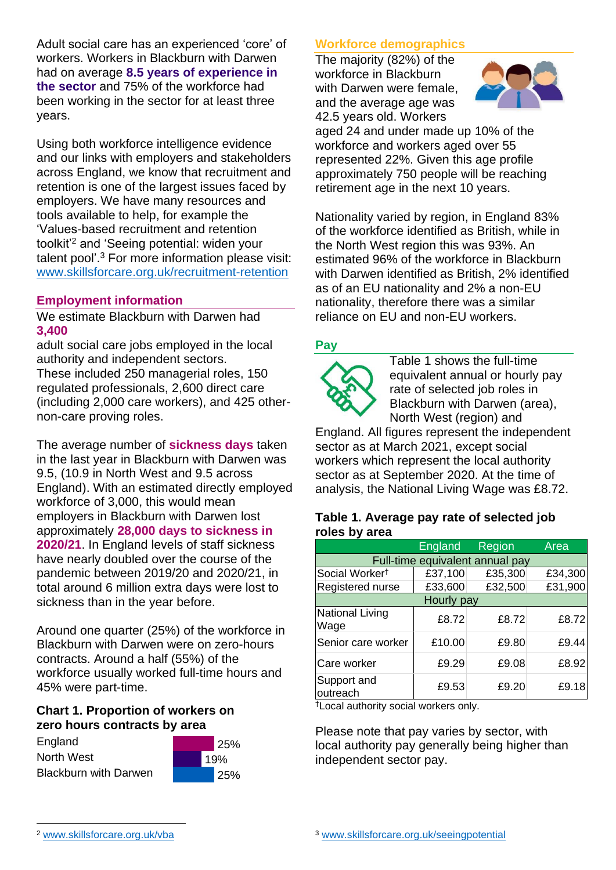Adult social care has an experienced 'core' of workers. Workers in Blackburn with Darwen had on average **8.5 years of experience in the sector** and 75% of the workforce had been working in the sector for at least three years.

Using both workforce intelligence evidence and our links with employers and stakeholders across England, we know that recruitment and retention is one of the largest issues faced by employers. We have many resources and tools available to help, for example the 'Values-based recruitment and retention toolkit'<sup>2</sup> and 'Seeing potential: widen your talent pool'. <sup>3</sup> For more information please visit: [www.skillsforcare.org.uk/recruitment-retention](http://www.skillsforcare.org.uk/recruitment-retention)

### **Employment information**

We estimate Blackburn with Darwen had **3,400**

adult social care jobs employed in the local authority and independent sectors. These included 250 managerial roles, 150 regulated professionals, 2,600 direct care (including 2,000 care workers), and 425 othernon-care proving roles.

The average number of **sickness days** taken in the last year in Blackburn with Darwen was 9.5, (10.9 in North West and 9.5 across England). With an estimated directly employed workforce of 3,000, this would mean employers in Blackburn with Darwen lost approximately **28,000 days to sickness in 2020/21**. In England levels of staff sickness have nearly doubled over the course of the pandemic between 2019/20 and 2020/21, in total around 6 million extra days were lost to sickness than in the year before.

Around one quarter (25%) of the workforce in Blackburn with Darwen were on zero-hours contracts. Around a half (55%) of the workforce usually worked full-time hours and 45% were part-time.

#### **Chart 1. Proportion of workers on zero hours contracts by area**





### **Workforce demographics**

The majority (82%) of the workforce in Blackburn with Darwen were female, and the average age was 42.5 years old. Workers



aged 24 and under made up 10% of the workforce and workers aged over 55 represented 22%. Given this age profile approximately 750 people will be reaching retirement age in the next 10 years.

Nationality varied by region, in England 83% of the workforce identified as British, while in the North West region this was 93%. An estimated 96% of the workforce in Blackburn with Darwen identified as British, 2% identified as of an EU nationality and 2% a non-EU nationality, therefore there was a similar reliance on EU and non-EU workers.

#### **Pay**



Table 1 shows the full-time equivalent annual or hourly pay rate of selected job roles in Blackburn with Darwen (area), North West (region) and

England. All figures represent the independent sector as at March 2021, except social workers which represent the local authority sector as at September 2020. At the time of analysis, the National Living Wage was £8.72.

#### **Table 1. Average pay rate of selected job roles by area**

|                                 | <b>England</b> | Region  | Area    |
|---------------------------------|----------------|---------|---------|
| Full-time equivalent annual pay |                |         |         |
| Social Worker <sup>t</sup>      | £37,100        | £35,300 | £34,300 |
| Registered nurse                | £33,600        | £32,500 | £31,900 |
| Hourly pay                      |                |         |         |
| National Living<br>Wage         | £8.72          | £8.72   | £8.72   |
| Senior care worker              | £10.00         | £9.80   | £9.44   |
| Care worker                     | £9.29          | £9.08   | £8.92   |
| Support and<br>outreach         | £9.53          | £9.20   | £9.18   |

†Local authority social workers only.

Please note that pay varies by sector, with local authority pay generally being higher than independent sector pay.

[www.skillsforcare.org.uk/vba](http://www.skillsforcare.org.uk/vba)